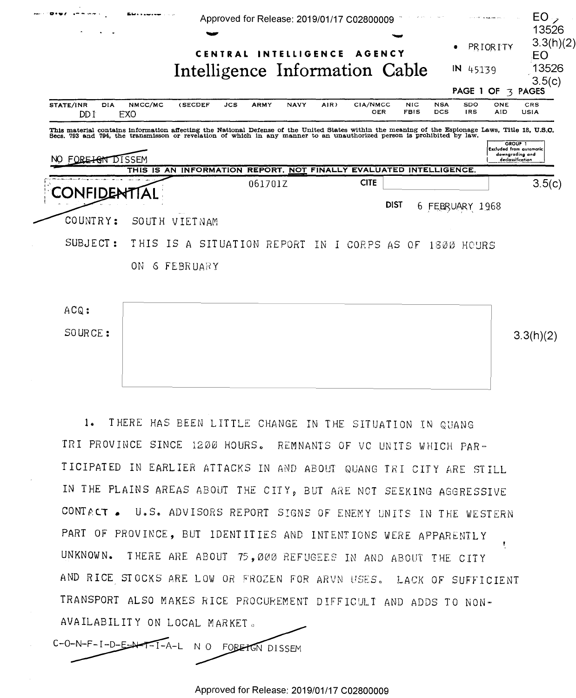

 $1<sub>0</sub>$ THERE HAS BEEN LITTLE CHANGE IN THE SITUATION IN QUANG TRI PROVINCE SINCE 1200 HOURS. REMNANTS OF VC UNITS WHICH PAR-TICIPATED IN EARLIER ATTACKS IN AND ABOUT QUANG TRI CITY ARE STILL IN THE PLAINS AREAS ABOUT THE CITY, BUT ARE NOT SEEKING AGGRESSIVE CONTACT. U.S. ADVISORS REPORT SIGNS OF ENEMY UNITS IN THE WESTERN PART OF PROVINCE, BUT IDENTITIES AND INTENTIONS WERE APPARENTLY UNKNOWN. THERE ARE ABOUT 75,000 REFUGEES IN AND ABOUT THE CITY AND RICE STOCKS ARE LOW OR FROZEN FOR ARVN USES. LACK OF SUFFICIENT TRANSPORT ALSO MAKES RICE PROCUREMENT DIFFICULT AND ADDS TO NON-AVAILABILITY ON LOCAL MARKET.

 $C-O-N-F-I-D-E-N-F-I-A-L$ N O FORETGN DISSEM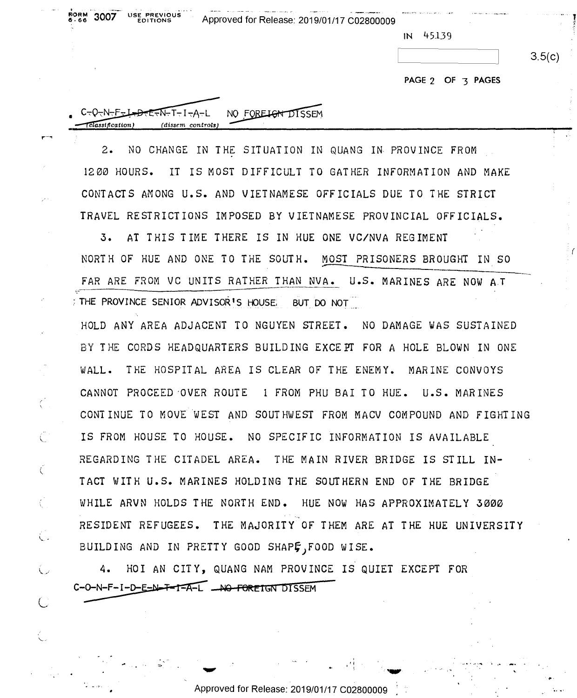|             | The contract of the company of the contract of the contract of the company of the<br>USE PREVIOUS | the contract of the company of the contract of the company of the company of the company of the contract of the<br><b>Company's Service</b><br>15. Important constitute do a | and hands a Miller company of the company |
|-------------|---------------------------------------------------------------------------------------------------|------------------------------------------------------------------------------------------------------------------------------------------------------------------------------|-------------------------------------------|
| $6.66$ 3007 | <b>EDITIONS</b>                                                                                   | Approved for Release: 2019/01/17 C02800009                                                                                                                                   |                                           |

**IN** 45.1-39 IN 45.139

|  | $\sim$<br>. .<br>31 I<br>- - -<br>۰ |  |
|--|-------------------------------------|--|
|  |                                     |  |

|                                                                                                   |                   | 3.5(c) |
|---------------------------------------------------------------------------------------------------|-------------------|--------|
|                                                                                                   | PAGE 2 OF 3 PAGES |        |
| $C_{\tau}Q_{\tau}N-F=L_{\tau}D_{\tau}E_{\tau}N_{\tau}T_{\tau}I_{\tau}A_{\tau}L$ NO FOREIGN DISSEM |                   |        |
| (dissem controls)<br>Classification)                                                              |                   |        |

2. NO CHANGE IN THE SITUATION IN QUANG IN PROVINCE FROM 1200 HOURS. LT IS MOST DIFFICULT TO GATHER INFORMATION AND MAKE IZOD HOURS. IT IS MOST DIFFICULT TO GATHER INFORMATION AND MAKE CONTACTS AMONG U.S. AND VIETNAMESE OFFICIALS DUE TO THE STRICT CONTACTS AMONG U.S. AND VIETNAMESE OFFICIALS DUE To THE STRICT TRAVEL RESTRICTIONS IMPOSED BY VIETNAMESE PROVINCIAL OFFICIALS. TRAVEL RESTRICTIONS IMPOSED BY VIETNAMESE PROVINCIAL OFFICIALS.

3. AT THIS TIME THERE IS IN HUE ONE VC/NVA REGIMENT NORTH OF HUE AND ONE TO THE SOUTH. MOST PRISONERS BROUGHT IN SO NORTH OF HUE AND ONE TO THE SOUTH. MOST PRISONERS BROUGHT IN 80 FAR ARE FROM VC UNITS RATHER THAN NVA. U.S. MARINES ARE NOW AT THE PROVINCE SENIOR ADVISOR'S HOUSE. BUT DO NOT ——'\_

HOLD ANY AREA ADJACENT TO NGUYEN STREET. NO DAMAGE WAS SUSTAINED BY I HE CORDS HEADQUARTERS BUILD ING EXCE Pf FOR A HOLE BLOWN IN ONE BY THE CORDS HEADQUARTERS BUILDING EXCEPT FOR A HOLE BLOWN IN ONE WALL. THE HOSPITAL AREA IS CLEAR OF THE ENEMY. MARINE CONVOYS CANNOT PROCEED ·OVER ROUTE l FROM PHU BAI TO HUE. U.S. MARINES CANNOT PROCEED OVER ROUTE 1 FROM PHU BAI TO HUE. U.S. MARINES CONTINUE TO MOVE WEST AND SOUTHWEST FROM MACV COMPOUND AND FIGHTING CONTINUE TO MOVE WEST AND SOUTHWEST FROM MACV COMPOUND AND FIGHTING ~- IS FROM HOUSE TO HOUSE. NO SPECIFIC INFORMATION IS AVAILABLE {' IS FROM HOUSE TO HOUSE. NO SPECIFIC INFORMATION IS AVAILABLE REGARDING THE CITADEL AREA. THE MAIN RIVER BRIDGE IS STILL IN-REGARDING THE CITADEL AREA. THE MAIN RIVER BRIDGE IS STILL IN-TACT WITH U.S. MARINES HOLDING THE SOUTHERN END OF THE BRIDGE TACT WITH U.S. MARINES HOLDING THE SOUTHERN END OF THE BRIDGE. WHILE ARVN HOLDS THE NORTH END. HUE NOW HAS APPROXIMATELY 3000 .. , RESIDENT REFUGEES. THE MAJORITY OF THEM ARE AT THE HUE UNIVERSITY RESIDENT REFUGEES. THE.MAJORITY OF THEM ARE AT THE HUE UNIVERSITY BUILDING AND IN PRETTY GOOD SHAPF, FOOD WISE.

 $\hskip -10.5cm -$  4. HOI AN CITY, QUANG NAM PROVINCE IS QUIET EXCEPT FOR C-O-N-F-I-D-E<del>-N-T-I-A-</del>L <del>-NO-FOREIGN DISSEM</del>

 $\zeta$  ,

 $\epsilon$ 

It is a set of the set of the set of the set of the set of the set of the set of the set of the set of the set

,,

'' . 'na-a-'na-a-'na-a-'na-a-'na-a-'na-a-'na-a-'na-a-'na-a-'na-a-'na-a-'na-a-'na-a-'na-a-'na-a-'na-a-'na-a-'na-